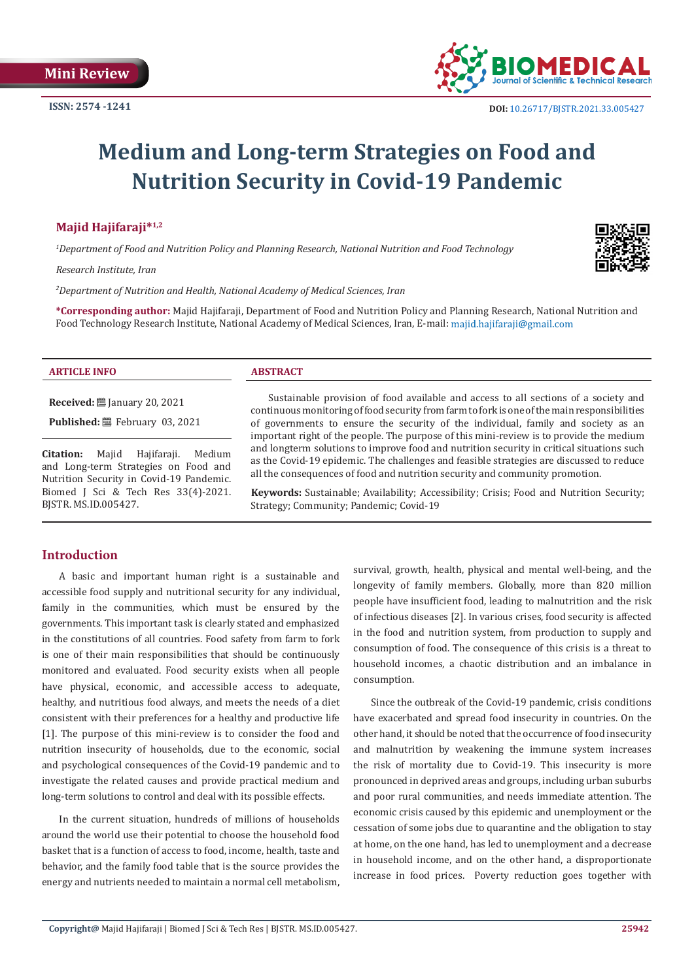

# **Medium and Long-term Strategies on Food and Nutrition Security in Covid-19 Pandemic**

# **Majid Hajifaraji\*1,2**

*1 Department of Food and Nutrition Policy and Planning Research, National Nutrition and Food Technology*

*Research Institute, Iran*

*2 Department of Nutrition and Health, National Academy of Medical Sciences, Iran*

**\*Corresponding author:** Majid Hajifaraji, Department of Food and Nutrition Policy and Planning Research, National Nutrition and Food Technology Research Institute, National Academy of Medical Sciences, Iran, E-mail: majid.hajifaraji@gmail.com

#### **ARTICLE INFO ABSTRACT**

**Received:** ■ January 20, 2021

Published: 巴 February 03, 2021

**Citation:** Majid Hajifaraji. Medium and Long-term Strategies on Food and Nutrition Security in Covid-19 Pandemic. Biomed J Sci & Tech Res 33(4)-2021. BJSTR. MS.ID.005427.

Sustainable provision of food available and access to all sections of a society and continuous monitoring of food security from farm to fork is one of the main responsibilities of governments to ensure the security of the individual, family and society as an important right of the people. The purpose of this mini-review is to provide the medium and longterm solutions to improve food and nutrition security in critical situations such as the Covid-19 epidemic. The challenges and feasible strategies are discussed to reduce all the consequences of food and nutrition security and community promotion.

**Keywords:** Sustainable; Availability; Accessibility; Crisis; Food and Nutrition Security; Strategy; Community; Pandemic; Covid-19

# **Introduction**

A basic and important human right is a sustainable and accessible food supply and nutritional security for any individual, family in the communities, which must be ensured by the governments. This important task is clearly stated and emphasized in the constitutions of all countries. Food safety from farm to fork is one of their main responsibilities that should be continuously monitored and evaluated. Food security exists when all people have physical, economic, and accessible access to adequate, healthy, and nutritious food always, and meets the needs of a diet consistent with their preferences for a healthy and productive life [1]. The purpose of this mini-review is to consider the food and nutrition insecurity of households, due to the economic, social and psychological consequences of the Covid-19 pandemic and to investigate the related causes and provide practical medium and long-term solutions to control and deal with its possible effects.

In the current situation, hundreds of millions of households around the world use their potential to choose the household food basket that is a function of access to food, income, health, taste and behavior, and the family food table that is the source provides the energy and nutrients needed to maintain a normal cell metabolism,

survival, growth, health, physical and mental well-being, and the longevity of family members. Globally, more than 820 million people have insufficient food, leading to malnutrition and the risk of infectious diseases [2]. In various crises, food security is affected in the food and nutrition system, from production to supply and consumption of food. The consequence of this crisis is a threat to household incomes, a chaotic distribution and an imbalance in consumption.

Since the outbreak of the Covid-19 pandemic, crisis conditions have exacerbated and spread food insecurity in countries. On the other hand, it should be noted that the occurrence of food insecurity and malnutrition by weakening the immune system increases the risk of mortality due to Covid-19. This insecurity is more pronounced in deprived areas and groups, including urban suburbs and poor rural communities, and needs immediate attention. The economic crisis caused by this epidemic and unemployment or the cessation of some jobs due to quarantine and the obligation to stay at home, on the one hand, has led to unemployment and a decrease in household income, and on the other hand, a disproportionate increase in food prices. Poverty reduction goes together with

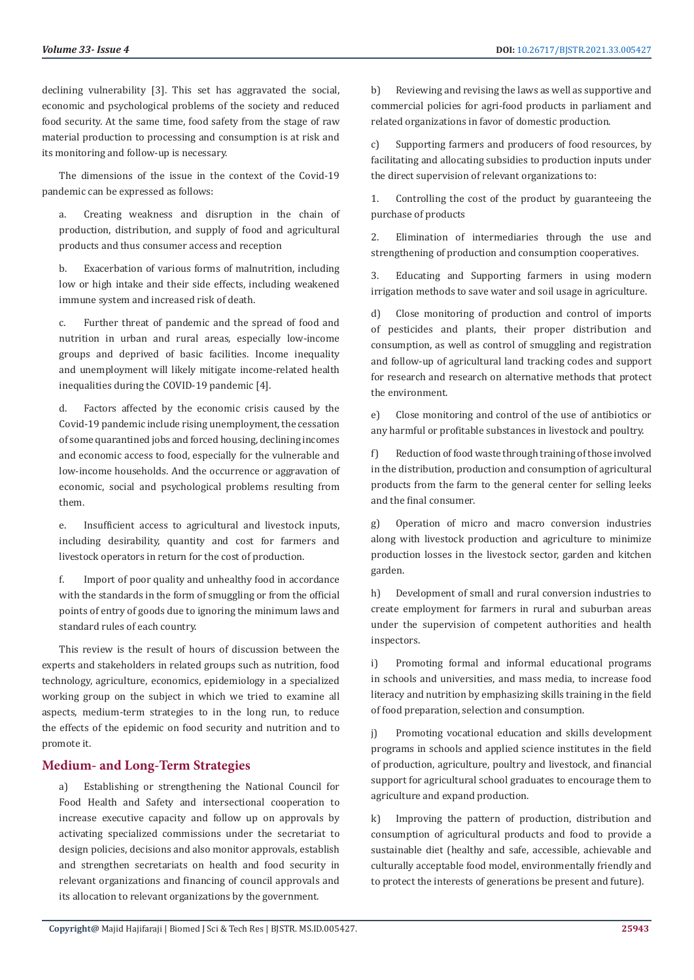declining vulnerability [3]. This set has aggravated the social, economic and psychological problems of the society and reduced food security. At the same time, food safety from the stage of raw material production to processing and consumption is at risk and its monitoring and follow-up is necessary.

The dimensions of the issue in the context of the Covid-19 pandemic can be expressed as follows:

a. Creating weakness and disruption in the chain of production, distribution, and supply of food and agricultural products and thus consumer access and reception

b. Exacerbation of various forms of malnutrition, including low or high intake and their side effects, including weakened immune system and increased risk of death.

c. Further threat of pandemic and the spread of food and nutrition in urban and rural areas, especially low-income groups and deprived of basic facilities. Income inequality and unemployment will likely mitigate income-related health inequalities during the COVID-19 pandemic [4].

d. Factors affected by the economic crisis caused by the Covid-19 pandemic include rising unemployment, the cessation of some quarantined jobs and forced housing, declining incomes and economic access to food, especially for the vulnerable and low-income households. And the occurrence or aggravation of economic, social and psychological problems resulting from them.

e. Insufficient access to agricultural and livestock inputs, including desirability, quantity and cost for farmers and livestock operators in return for the cost of production.

f. Import of poor quality and unhealthy food in accordance with the standards in the form of smuggling or from the official points of entry of goods due to ignoring the minimum laws and standard rules of each country.

This review is the result of hours of discussion between the experts and stakeholders in related groups such as nutrition, food technology, agriculture, economics, epidemiology in a specialized working group on the subject in which we tried to examine all aspects, medium-term strategies to in the long run, to reduce the effects of the epidemic on food security and nutrition and to promote it.

# **Medium- and Long-Term Strategies**

a) Establishing or strengthening the National Council for Food Health and Safety and intersectional cooperation to increase executive capacity and follow up on approvals by activating specialized commissions under the secretariat to design policies, decisions and also monitor approvals, establish and strengthen secretariats on health and food security in relevant organizations and financing of council approvals and its allocation to relevant organizations by the government.

b) Reviewing and revising the laws as well as supportive and commercial policies for agri-food products in parliament and related organizations in favor of domestic production.

c) Supporting farmers and producers of food resources, by facilitating and allocating subsidies to production inputs under the direct supervision of relevant organizations to:

1. Controlling the cost of the product by guaranteeing the purchase of products

2. Elimination of intermediaries through the use and strengthening of production and consumption cooperatives.

3. Educating and Supporting farmers in using modern irrigation methods to save water and soil usage in agriculture.

d) Close monitoring of production and control of imports of pesticides and plants, their proper distribution and consumption, as well as control of smuggling and registration and follow-up of agricultural land tracking codes and support for research and research on alternative methods that protect the environment.

e) Close monitoring and control of the use of antibiotics or any harmful or profitable substances in livestock and poultry.

f) Reduction of food waste through training of those involved in the distribution, production and consumption of agricultural products from the farm to the general center for selling leeks and the final consumer.

g) Operation of micro and macro conversion industries along with livestock production and agriculture to minimize production losses in the livestock sector, garden and kitchen garden.

h) Development of small and rural conversion industries to create employment for farmers in rural and suburban areas under the supervision of competent authorities and health inspectors.

i) Promoting formal and informal educational programs in schools and universities, and mass media, to increase food literacy and nutrition by emphasizing skills training in the field of food preparation, selection and consumption.

j) Promoting vocational education and skills development programs in schools and applied science institutes in the field of production, agriculture, poultry and livestock, and financial support for agricultural school graduates to encourage them to agriculture and expand production.

k) Improving the pattern of production, distribution and consumption of agricultural products and food to provide a sustainable diet (healthy and safe, accessible, achievable and culturally acceptable food model, environmentally friendly and to protect the interests of generations be present and future).